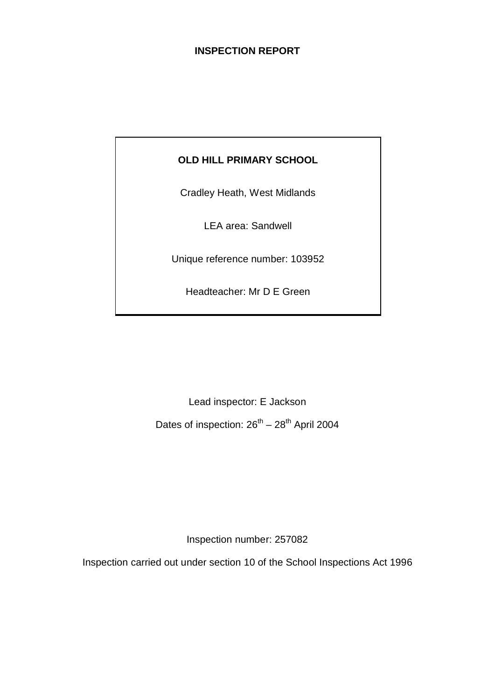# **INSPECTION REPORT**

# **OLD HILL PRIMARY SCHOOL**

Cradley Heath, West Midlands

LEA area: Sandwell

Unique reference number: 103952

Headteacher: Mr D E Green

Lead inspector: E Jackson

Dates of inspection:  $26^{th} - 28^{th}$  April 2004

Inspection number: 257082

Inspection carried out under section 10 of the School Inspections Act 1996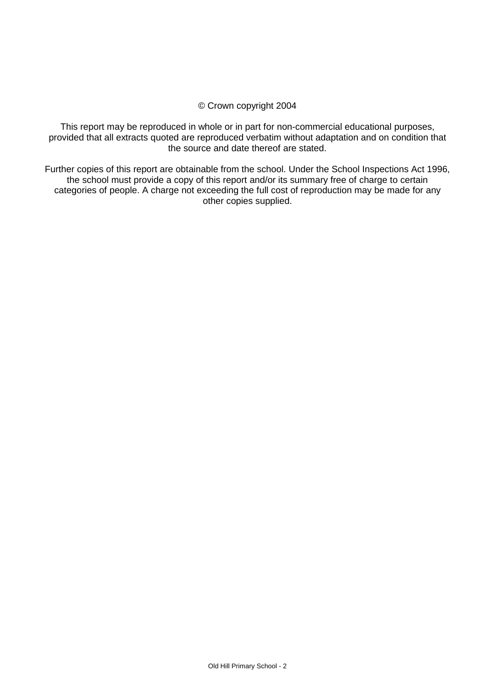### © Crown copyright 2004

This report may be reproduced in whole or in part for non-commercial educational purposes, provided that all extracts quoted are reproduced verbatim without adaptation and on condition that the source and date thereof are stated.

Further copies of this report are obtainable from the school. Under the School Inspections Act 1996, the school must provide a copy of this report and/or its summary free of charge to certain categories of people. A charge not exceeding the full cost of reproduction may be made for any other copies supplied.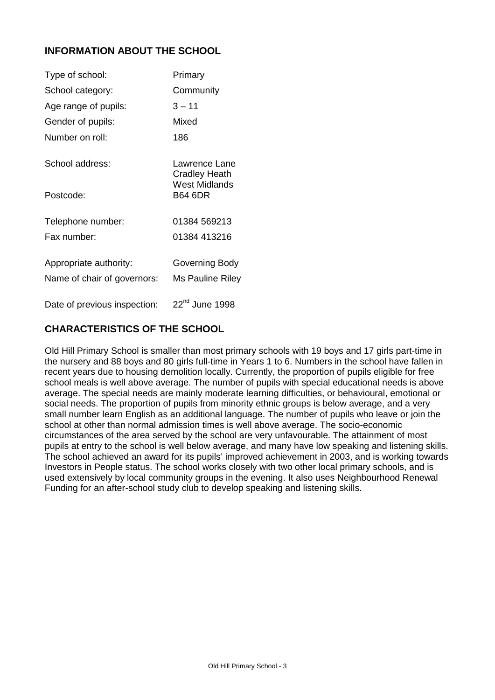# **INFORMATION ABOUT THE SCHOOL**

| Type of school:              | Primary                               |
|------------------------------|---------------------------------------|
| School category:             | Community                             |
| Age range of pupils:         | $3 - 11$                              |
| Gender of pupils:            | Mixed                                 |
| Number on roll:              | 186                                   |
| School address:              | Lawrence Lane<br><b>Cradley Heath</b> |
| Postcode:                    | West Midlands<br><b>B64 6DR</b>       |
| Telephone number:            | 01384 569213                          |
| Fax number:                  | 01384 413216                          |
| Appropriate authority:       | Governing Body                        |
| Name of chair of governors:  | Ms Pauline Riley                      |
| Date of previous inspection: | 22 <sup>nd</sup> June 1998            |

# **CHARACTERISTICS OF THE SCHOOL**

Old Hill Primary School is smaller than most primary schools with 19 boys and 17 girls part-time in the nursery and 88 boys and 80 girls full-time in Years 1 to 6. Numbers in the school have fallen in recent years due to housing demolition locally. Currently, the proportion of pupils eligible for free school meals is well above average. The number of pupils with special educational needs is above average. The special needs are mainly moderate learning difficulties, or behavioural, emotional or social needs. The proportion of pupils from minority ethnic groups is below average, and a very small number learn English as an additional language. The number of pupils who leave or join the school at other than normal admission times is well above average. The socio-economic circumstances of the area served by the school are very unfavourable. The attainment of most pupils at entry to the school is well below average, and many have low speaking and listening skills. The school achieved an award for its pupils' improved achievement in 2003, and is working towards Investors in People status. The school works closely with two other local primary schools, and is used extensively by local community groups in the evening. It also uses Neighbourhood Renewal Funding for an after-school study club to develop speaking and listening skills.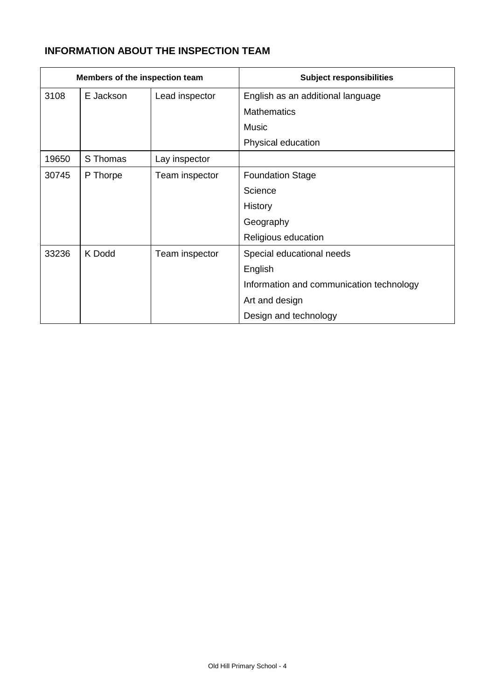# **INFORMATION ABOUT THE INSPECTION TEAM**

| Members of the inspection team |           |                | <b>Subject responsibilities</b>          |
|--------------------------------|-----------|----------------|------------------------------------------|
| 3108                           | E Jackson | Lead inspector | English as an additional language        |
|                                |           |                | <b>Mathematics</b>                       |
|                                |           |                | Music                                    |
|                                |           |                | Physical education                       |
| 19650                          | S Thomas  | Lay inspector  |                                          |
| 30745                          | P Thorpe  | Team inspector | <b>Foundation Stage</b>                  |
|                                |           |                | Science                                  |
|                                |           |                | History                                  |
|                                |           |                | Geography                                |
|                                |           |                | Religious education                      |
| 33236                          | K Dodd    | Team inspector | Special educational needs                |
|                                |           |                | English                                  |
|                                |           |                | Information and communication technology |
|                                |           |                | Art and design                           |
|                                |           |                | Design and technology                    |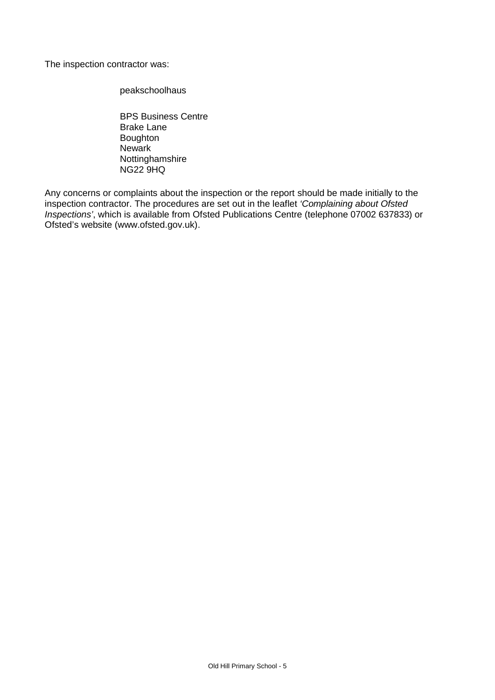The inspection contractor was:

peakschoolhaus

BPS Business Centre Brake Lane Boughton **Newark** Nottinghamshire NG22 9HQ

Any concerns or complaints about the inspection or the report should be made initially to the inspection contractor. The procedures are set out in the leaflet *'Complaining about Ofsted Inspections'*, which is available from Ofsted Publications Centre (telephone 07002 637833) or Ofsted's website (www.ofsted.gov.uk).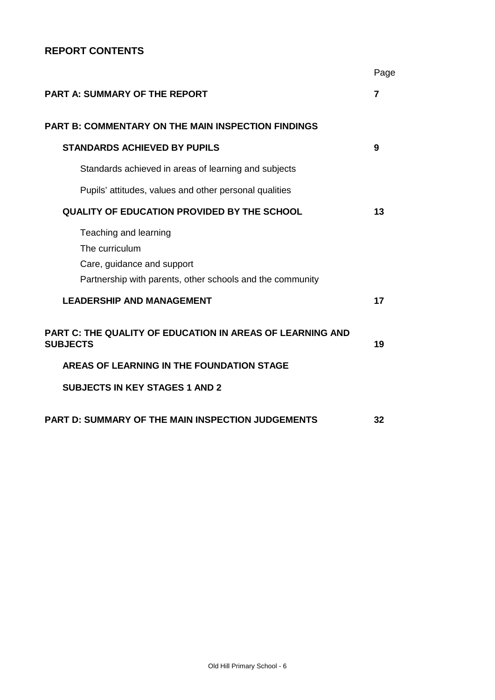# **REPORT CONTENTS**

|                                                                                                                                    | Page |
|------------------------------------------------------------------------------------------------------------------------------------|------|
| <b>PART A: SUMMARY OF THE REPORT</b>                                                                                               | 7    |
| <b>PART B: COMMENTARY ON THE MAIN INSPECTION FINDINGS</b>                                                                          |      |
| <b>STANDARDS ACHIEVED BY PUPILS</b>                                                                                                | 9    |
| Standards achieved in areas of learning and subjects                                                                               |      |
| Pupils' attitudes, values and other personal qualities                                                                             |      |
| <b>QUALITY OF EDUCATION PROVIDED BY THE SCHOOL</b>                                                                                 | 13   |
| Teaching and learning<br>The curriculum<br>Care, guidance and support<br>Partnership with parents, other schools and the community |      |
| <b>LEADERSHIP AND MANAGEMENT</b>                                                                                                   | 17   |
| <b>PART C: THE QUALITY OF EDUCATION IN AREAS OF LEARNING AND</b><br><b>SUBJECTS</b>                                                | 19   |
| AREAS OF LEARNING IN THE FOUNDATION STAGE                                                                                          |      |
| <b>SUBJECTS IN KEY STAGES 1 AND 2</b>                                                                                              |      |
| <b>PART D: SUMMARY OF THE MAIN INSPECTION JUDGEMENTS</b>                                                                           | 32   |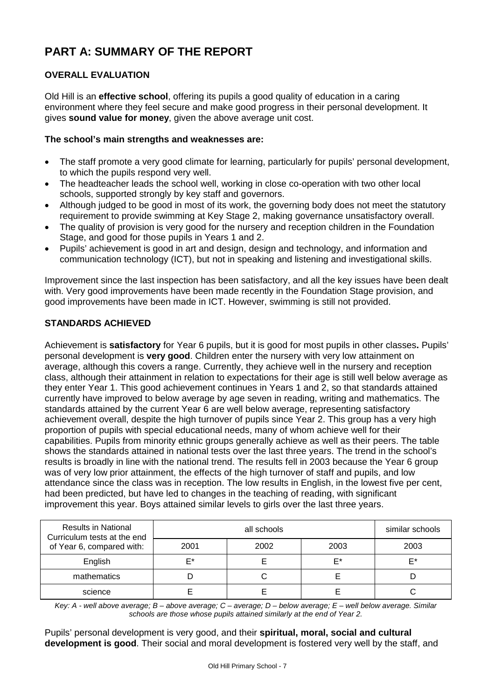# **PART A: SUMMARY OF THE REPORT**

# **OVERALL EVALUATION**

Old Hill is an **effective school**, offering its pupils a good quality of education in a caring environment where they feel secure and make good progress in their personal development. It gives **sound value for money**, given the above average unit cost.

### **The school's main strengths and weaknesses are:**

- The staff promote a very good climate for learning, particularly for pupils' personal development, to which the pupils respond very well.
- The headteacher leads the school well, working in close co-operation with two other local schools, supported strongly by key staff and governors.
- Although judged to be good in most of its work, the governing body does not meet the statutory requirement to provide swimming at Key Stage 2, making governance unsatisfactory overall.
- The quality of provision is very good for the nursery and reception children in the Foundation Stage, and good for those pupils in Years 1 and 2.
- Pupils' achievement is good in art and design, design and technology, and information and communication technology (ICT), but not in speaking and listening and investigational skills.

Improvement since the last inspection has been satisfactory, and all the key issues have been dealt with. Very good improvements have been made recently in the Foundation Stage provision, and good improvements have been made in ICT. However, swimming is still not provided.

# **STANDARDS ACHIEVED**

Achievement is **satisfactory** for Year 6 pupils, but it is good for most pupils in other classes**.** Pupils' personal development is **very good**. Children enter the nursery with very low attainment on average, although this covers a range. Currently, they achieve well in the nursery and reception class, although their attainment in relation to expectations for their age is still well below average as they enter Year 1. This good achievement continues in Years 1 and 2, so that standards attained currently have improved to below average by age seven in reading, writing and mathematics. The standards attained by the current Year 6 are well below average, representing satisfactory achievement overall, despite the high turnover of pupils since Year 2. This group has a very high proportion of pupils with special educational needs, many of whom achieve well for their capabilities. Pupils from minority ethnic groups generally achieve as well as their peers. The table shows the standards attained in national tests over the last three years. The trend in the school's results is broadly in line with the national trend. The results fell in 2003 because the Year 6 group was of very low prior attainment, the effects of the high turnover of staff and pupils, and low attendance since the class was in reception. The low results in English, in the lowest five per cent, had been predicted, but have led to changes in the teaching of reading, with significant improvement this year. Boys attained similar levels to girls over the last three years.

| <b>Results in National</b><br>Curriculum tests at the end |      | similar schools |      |      |
|-----------------------------------------------------------|------|-----------------|------|------|
| of Year 6, compared with:                                 | 2001 | 2002            | 2003 | 2003 |
| English                                                   | F*   |                 | F*   | F*   |
| mathematics                                               |      |                 |      |      |
| science                                                   |      |                 |      |      |

*Key: A - well above average; B – above average; C – average; D – below average; E – well below average. Similar schools are those whose pupils attained similarly at the end of Year 2.*

Pupils' personal development is very good, and their **spiritual, moral, social and cultural development is good**. Their social and moral development is fostered very well by the staff, and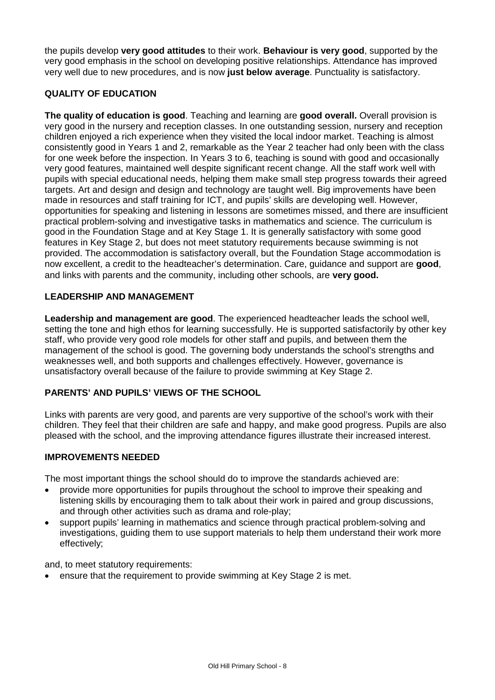the pupils develop **very good attitudes** to their work. **Behaviour is very good**, supported by the very good emphasis in the school on developing positive relationships. Attendance has improved very well due to new procedures, and is now **just below average**. Punctuality is satisfactory.

# **QUALITY OF EDUCATION**

**The quality of education is good**. Teaching and learning are **good overall.** Overall provision is very good in the nursery and reception classes. In one outstanding session, nursery and reception children enjoyed a rich experience when they visited the local indoor market. Teaching is almost consistently good in Years 1 and 2, remarkable as the Year 2 teacher had only been with the class for one week before the inspection. In Years 3 to 6, teaching is sound with good and occasionally very good features, maintained well despite significant recent change. All the staff work well with pupils with special educational needs, helping them make small step progress towards their agreed targets. Art and design and design and technology are taught well. Big improvements have been made in resources and staff training for ICT, and pupils' skills are developing well. However, opportunities for speaking and listening in lessons are sometimes missed, and there are insufficient practical problem-solving and investigative tasks in mathematics and science. The curriculum is good in the Foundation Stage and at Key Stage 1. It is generally satisfactory with some good features in Key Stage 2, but does not meet statutory requirements because swimming is not provided. The accommodation is satisfactory overall, but the Foundation Stage accommodation is now excellent, a credit to the headteacher's determination. Care, guidance and support are **good**, and links with parents and the community, including other schools, are **very good.**

#### **LEADERSHIP AND MANAGEMENT**

**Leadership and management are good**. The experienced headteacher leads the school well, setting the tone and high ethos for learning successfully. He is supported satisfactorily by other key staff, who provide very good role models for other staff and pupils, and between them the management of the school is good. The governing body understands the school's strengths and weaknesses well, and both supports and challenges effectively. However, governance is unsatisfactory overall because of the failure to provide swimming at Key Stage 2.

#### **PARENTS' AND PUPILS' VIEWS OF THE SCHOOL**

Links with parents are very good, and parents are very supportive of the school's work with their children. They feel that their children are safe and happy, and make good progress. Pupils are also pleased with the school, and the improving attendance figures illustrate their increased interest.

#### **IMPROVEMENTS NEEDED**

The most important things the school should do to improve the standards achieved are:

- provide more opportunities for pupils throughout the school to improve their speaking and listening skills by encouraging them to talk about their work in paired and group discussions, and through other activities such as drama and role-play;
- support pupils' learning in mathematics and science through practical problem-solving and investigations, guiding them to use support materials to help them understand their work more effectively;

and, to meet statutory requirements:

ensure that the requirement to provide swimming at Key Stage 2 is met.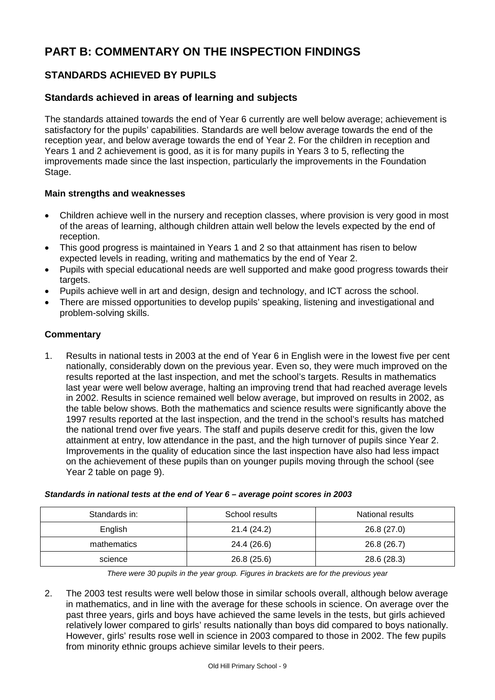# **PART B: COMMENTARY ON THE INSPECTION FINDINGS**

# **STANDARDS ACHIEVED BY PUPILS**

# **Standards achieved in areas of learning and subjects**

The standards attained towards the end of Year 6 currently are well below average; achievement is satisfactory for the pupils' capabilities. Standards are well below average towards the end of the reception year, and below average towards the end of Year 2. For the children in reception and Years 1 and 2 achievement is good, as it is for many pupils in Years 3 to 5, reflecting the improvements made since the last inspection, particularly the improvements in the Foundation Stage.

#### **Main strengths and weaknesses**

- Children achieve well in the nursery and reception classes, where provision is very good in most of the areas of learning, although children attain well below the levels expected by the end of reception.
- This good progress is maintained in Years 1 and 2 so that attainment has risen to below expected levels in reading, writing and mathematics by the end of Year 2.
- Pupils with special educational needs are well supported and make good progress towards their targets.
- Pupils achieve well in art and design, design and technology, and ICT across the school.
- There are missed opportunities to develop pupils' speaking, listening and investigational and problem-solving skills.

# **Commentary**

1. Results in national tests in 2003 at the end of Year 6 in English were in the lowest five per cent nationally, considerably down on the previous year. Even so, they were much improved on the results reported at the last inspection, and met the school's targets. Results in mathematics last year were well below average, halting an improving trend that had reached average levels in 2002. Results in science remained well below average, but improved on results in 2002, as the table below shows. Both the mathematics and science results were significantly above the 1997 results reported at the last inspection, and the trend in the school's results has matched the national trend over five years. The staff and pupils deserve credit for this, given the low attainment at entry, low attendance in the past, and the high turnover of pupils since Year 2. Improvements in the quality of education since the last inspection have also had less impact on the achievement of these pupils than on younger pupils moving through the school (see Year 2 table on page 9).

| Standards in: | School results | National results |
|---------------|----------------|------------------|
| English       | 21.4 (24.2)    | 26.8(27.0)       |
| mathematics   | 24.4 (26.6)    | 26.8 (26.7)      |
| science       | 26.8(25.6)     | 28.6 (28.3)      |

#### *Standards in national tests at the end of Year 6 – average point scores in 2003*

*There were 30 pupils in the year group. Figures in brackets are for the previous year*

2. The 2003 test results were well below those in similar schools overall, although below average in mathematics, and in line with the average for these schools in science. On average over the past three years, girls and boys have achieved the same levels in the tests, but girls achieved relatively lower compared to girls' results nationally than boys did compared to boys nationally. However, girls' results rose well in science in 2003 compared to those in 2002. The few pupils from minority ethnic groups achieve similar levels to their peers.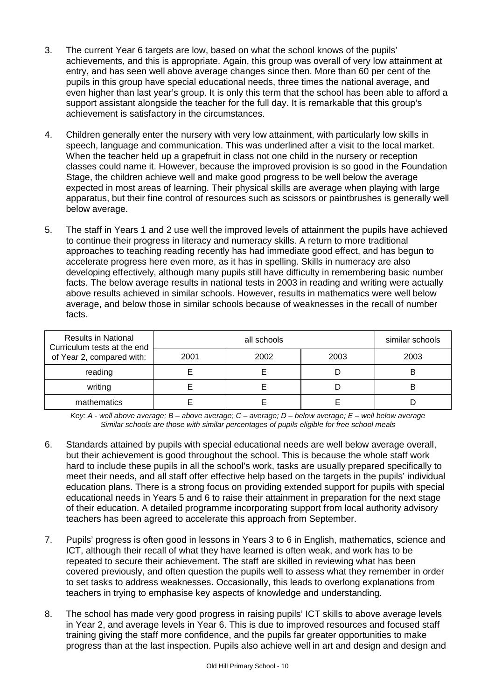- 3. The current Year 6 targets are low, based on what the school knows of the pupils' achievements, and this is appropriate. Again, this group was overall of very low attainment at entry, and has seen well above average changes since then. More than 60 per cent of the pupils in this group have special educational needs, three times the national average, and even higher than last year's group. It is only this term that the school has been able to afford a support assistant alongside the teacher for the full day. It is remarkable that this group's achievement is satisfactory in the circumstances.
- 4. Children generally enter the nursery with very low attainment, with particularly low skills in speech, language and communication. This was underlined after a visit to the local market. When the teacher held up a grapefruit in class not one child in the nursery or reception classes could name it. However, because the improved provision is so good in the Foundation Stage, the children achieve well and make good progress to be well below the average expected in most areas of learning. Their physical skills are average when playing with large apparatus, but their fine control of resources such as scissors or paintbrushes is generally well below average.
- 5. The staff in Years 1 and 2 use well the improved levels of attainment the pupils have achieved to continue their progress in literacy and numeracy skills. A return to more traditional approaches to teaching reading recently has had immediate good effect, and has begun to accelerate progress here even more, as it has in spelling. Skills in numeracy are also developing effectively, although many pupils still have difficulty in remembering basic number facts. The below average results in national tests in 2003 in reading and writing were actually above results achieved in similar schools. However, results in mathematics were well below average, and below those in similar schools because of weaknesses in the recall of number facts.

| <b>Results in National</b><br>Curriculum tests at the end |      | similar schools |      |      |
|-----------------------------------------------------------|------|-----------------|------|------|
| of Year 2, compared with:                                 | 2001 | 2002            | 2003 | 2003 |
| reading                                                   |      |                 |      |      |
| writing                                                   |      |                 |      |      |
| mathematics                                               |      |                 |      |      |

*Key: A - well above average; B – above average; C – average; D – below average; E – well below average Similar schools are those with similar percentages of pupils eligible for free school meals*

- 6. Standards attained by pupils with special educational needs are well below average overall, but their achievement is good throughout the school. This is because the whole staff work hard to include these pupils in all the school's work, tasks are usually prepared specifically to meet their needs, and all staff offer effective help based on the targets in the pupils' individual education plans. There is a strong focus on providing extended support for pupils with special educational needs in Years 5 and 6 to raise their attainment in preparation for the next stage of their education. A detailed programme incorporating support from local authority advisory teachers has been agreed to accelerate this approach from September.
- 7. Pupils' progress is often good in lessons in Years 3 to 6 in English, mathematics, science and ICT, although their recall of what they have learned is often weak, and work has to be repeated to secure their achievement. The staff are skilled in reviewing what has been covered previously, and often question the pupils well to assess what they remember in order to set tasks to address weaknesses. Occasionally, this leads to overlong explanations from teachers in trying to emphasise key aspects of knowledge and understanding.
- 8. The school has made very good progress in raising pupils' ICT skills to above average levels in Year 2, and average levels in Year 6. This is due to improved resources and focused staff training giving the staff more confidence, and the pupils far greater opportunities to make progress than at the last inspection. Pupils also achieve well in art and design and design and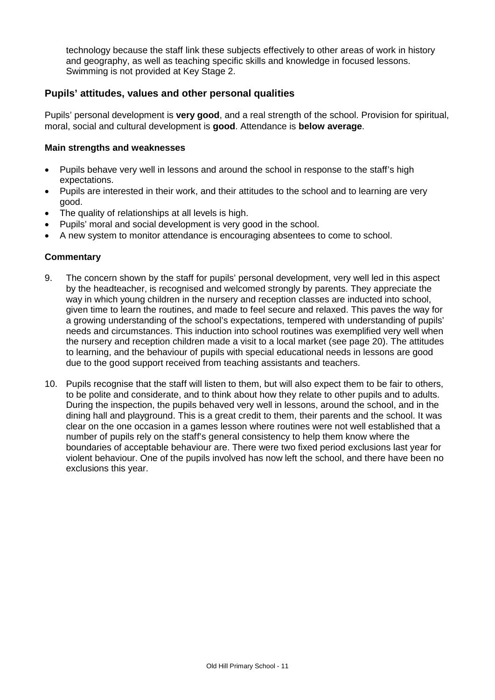technology because the staff link these subjects effectively to other areas of work in history and geography, as well as teaching specific skills and knowledge in focused lessons. Swimming is not provided at Key Stage 2.

# **Pupils' attitudes, values and other personal qualities**

Pupils' personal development is **very good**, and a real strength of the school. Provision for spiritual, moral, social and cultural development is **good**. Attendance is **below average**.

#### **Main strengths and weaknesses**

- Pupils behave very well in lessons and around the school in response to the staff's high expectations.
- Pupils are interested in their work, and their attitudes to the school and to learning are very good.
- The quality of relationships at all levels is high.
- Pupils' moral and social development is very good in the school.
- A new system to monitor attendance is encouraging absentees to come to school.

- 9. The concern shown by the staff for pupils' personal development, very well led in this aspect by the headteacher, is recognised and welcomed strongly by parents. They appreciate the way in which young children in the nursery and reception classes are inducted into school, given time to learn the routines, and made to feel secure and relaxed. This paves the way for a growing understanding of the school's expectations, tempered with understanding of pupils' needs and circumstances. This induction into school routines was exemplified very well when the nursery and reception children made a visit to a local market (see page 20). The attitudes to learning, and the behaviour of pupils with special educational needs in lessons are good due to the good support received from teaching assistants and teachers.
- 10. Pupils recognise that the staff will listen to them, but will also expect them to be fair to others, to be polite and considerate, and to think about how they relate to other pupils and to adults. During the inspection, the pupils behaved very well in lessons, around the school, and in the dining hall and playground. This is a great credit to them, their parents and the school. It was clear on the one occasion in a games lesson where routines were not well established that a number of pupils rely on the staff's general consistency to help them know where the boundaries of acceptable behaviour are. There were two fixed period exclusions last year for violent behaviour. One of the pupils involved has now left the school, and there have been no exclusions this year.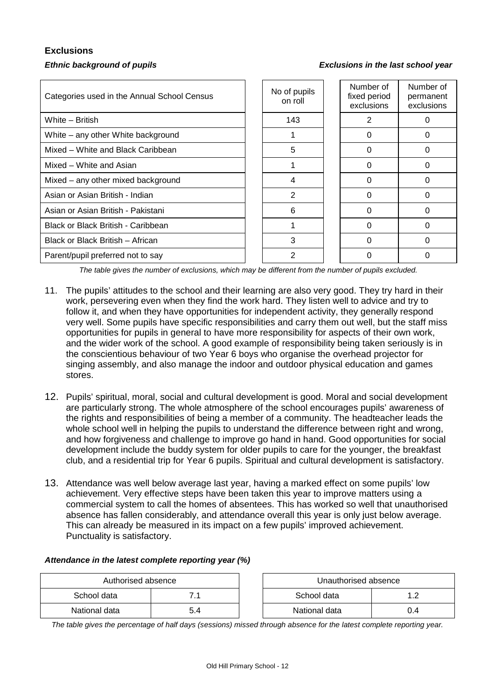# **Exclusions**

#### *Ethnic background of pupils Exclusions in the last school year*

| Categories used in the Annual School Census | No of pupils<br>on roll | Number of<br>fixed period<br>exclusions | Number of<br>permanent<br>exclusions |
|---------------------------------------------|-------------------------|-----------------------------------------|--------------------------------------|
| White - British                             | 143                     | 2                                       |                                      |
| White – any other White background          |                         | 0                                       |                                      |
| Mixed – White and Black Caribbean           | 5                       | $\Omega$                                | 0                                    |
| Mixed – White and Asian                     |                         | 0                                       | 0                                    |
| Mixed – any other mixed background          | 4                       | ∩                                       |                                      |
| Asian or Asian British - Indian             | $\mathfrak{p}$          | ∩                                       |                                      |
| Asian or Asian British - Pakistani          | 6                       |                                         |                                      |
| Black or Black British - Caribbean          |                         |                                         |                                      |
| Black or Black British - African            | 3                       | ∩                                       |                                      |
| Parent/pupil preferred not to say           | 2                       |                                         |                                      |

*The table gives the number of exclusions, which may be different from the number of pupils excluded.*

- 11. The pupils' attitudes to the school and their learning are also very good. They try hard in their work, persevering even when they find the work hard. They listen well to advice and try to follow it, and when they have opportunities for independent activity, they generally respond very well. Some pupils have specific responsibilities and carry them out well, but the staff miss opportunities for pupils in general to have more responsibility for aspects of their own work, and the wider work of the school. A good example of responsibility being taken seriously is in the conscientious behaviour of two Year 6 boys who organise the overhead projector for singing assembly, and also manage the indoor and outdoor physical education and games stores.
- 12. Pupils' spiritual, moral, social and cultural development is good. Moral and social development are particularly strong. The whole atmosphere of the school encourages pupils' awareness of the rights and responsibilities of being a member of a community. The headteacher leads the whole school well in helping the pupils to understand the difference between right and wrong, and how forgiveness and challenge to improve go hand in hand. Good opportunities for social development include the buddy system for older pupils to care for the younger, the breakfast club, and a residential trip for Year 6 pupils. Spiritual and cultural development is satisfactory.
- 13. Attendance was well below average last year, having a marked effect on some pupils' low achievement. Very effective steps have been taken this year to improve matters using a commercial system to call the homes of absentees. This has worked so well that unauthorised absence has fallen considerably, and attendance overall this year is only just below average. This can already be measured in its impact on a few pupils' improved achievement. Punctuality is satisfactory.

| Attendance in the latest complete reporting year (%) |  |  |  |  |  |
|------------------------------------------------------|--|--|--|--|--|
|                                                      |  |  |  |  |  |

| Authorised absence |     |  | Unauthorised absence |     |
|--------------------|-----|--|----------------------|-----|
| School data        |     |  | School data          |     |
| National data      | 5.4 |  | National data        | J.4 |

*The table gives the percentage of half days (sessions) missed through absence for the latest complete reporting year.*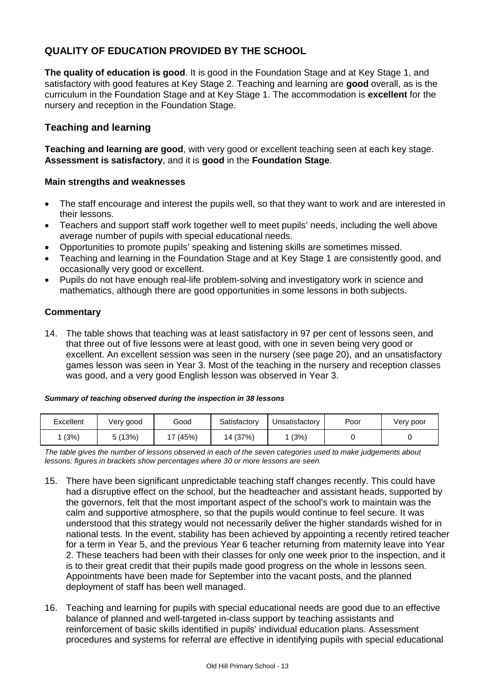# **QUALITY OF EDUCATION PROVIDED BY THE SCHOOL**

**The quality of education is good**. It is good in the Foundation Stage and at Key Stage 1, and satisfactory with good features at Key Stage 2. Teaching and learning are **good** overall, as is the curriculum in the Foundation Stage and at Key Stage 1. The accommodation is **excellent** for the nursery and reception in the Foundation Stage.

# **Teaching and learning**

**Teaching and learning are good**, with very good or excellent teaching seen at each key stage. **Assessment is satisfactory**, and it is **good** in the **Foundation Stage**.

#### **Main strengths and weaknesses**

- The staff encourage and interest the pupils well, so that they want to work and are interested in their lessons.
- Teachers and support staff work together well to meet pupils' needs, including the well above average number of pupils with special educational needs.
- Opportunities to promote pupils' speaking and listening skills are sometimes missed.
- Teaching and learning in the Foundation Stage and at Key Stage 1 are consistently good, and occasionally very good or excellent.
- Pupils do not have enough real-life problem-solving and investigatory work in science and mathematics, although there are good opportunities in some lessons in both subjects.

#### **Commentary**

14. The table shows that teaching was at least satisfactory in 97 per cent of lessons seen, and that three out of five lessons were at least good, with one in seven being very good or excellent. An excellent session was seen in the nursery (see page 20), and an unsatisfactory games lesson was seen in Year 3. Most of the teaching in the nursery and reception classes was good, and a very good English lesson was observed in Year 3.

#### *Summary of teaching observed during the inspection in 38 lessons*

| Excellent | Very good | Good  | Satisfactory | Unsatisfactory | Poor | Very poor |
|-----------|-----------|-------|--------------|----------------|------|-----------|
| (3%)      | 5(13%)    | (45%) | 14 (37%)     | (3%)           |      |           |

*The table gives the number of lessons observed in each of the seven categories used to make judgements about lessons; figures in brackets show percentages where 30 or more lessons are seen.*

- 15. There have been significant unpredictable teaching staff changes recently. This could have had a disruptive effect on the school, but the headteacher and assistant heads, supported by the governors, felt that the most important aspect of the school's work to maintain was the calm and supportive atmosphere, so that the pupils would continue to feel secure. It was understood that this strategy would not necessarily deliver the higher standards wished for in national tests. In the event, stability has been achieved by appointing a recently retired teacher for a term in Year 5, and the previous Year 6 teacher returning from maternity leave into Year 2. These teachers had been with their classes for only one week prior to the inspection, and it is to their great credit that their pupils made good progress on the whole in lessons seen. Appointments have been made for September into the vacant posts, and the planned deployment of staff has been well managed.
- 16. Teaching and learning for pupils with special educational needs are good due to an effective balance of planned and well-targeted in-class support by teaching assistants and reinforcement of basic skills identified in pupils' individual education plans. Assessment procedures and systems for referral are effective in identifying pupils with special educational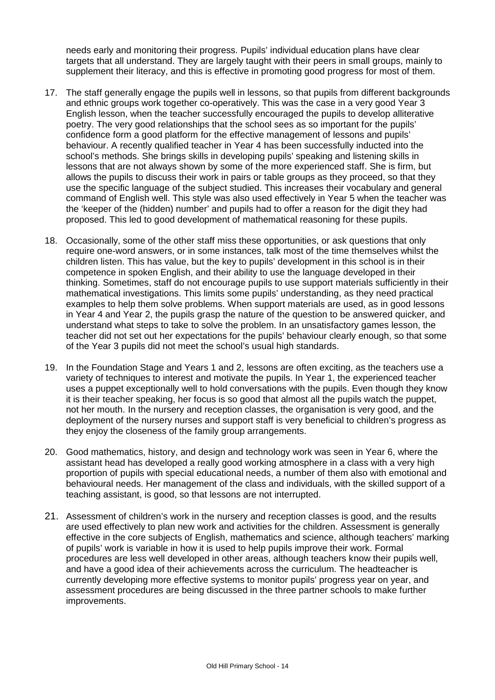needs early and monitoring their progress. Pupils' individual education plans have clear targets that all understand. They are largely taught with their peers in small groups, mainly to supplement their literacy, and this is effective in promoting good progress for most of them.

- 17. The staff generally engage the pupils well in lessons, so that pupils from different backgrounds and ethnic groups work together co-operatively. This was the case in a very good Year 3 English lesson, when the teacher successfully encouraged the pupils to develop alliterative poetry. The very good relationships that the school sees as so important for the pupils' confidence form a good platform for the effective management of lessons and pupils' behaviour. A recently qualified teacher in Year 4 has been successfully inducted into the school's methods. She brings skills in developing pupils' speaking and listening skills in lessons that are not always shown by some of the more experienced staff. She is firm, but allows the pupils to discuss their work in pairs or table groups as they proceed, so that they use the specific language of the subject studied. This increases their vocabulary and general command of English well. This style was also used effectively in Year 5 when the teacher was the 'keeper of the (hidden) number' and pupils had to offer a reason for the digit they had proposed. This led to good development of mathematical reasoning for these pupils.
- 18. Occasionally, some of the other staff miss these opportunities, or ask questions that only require one-word answers, or in some instances, talk most of the time themselves whilst the children listen. This has value, but the key to pupils' development in this school is in their competence in spoken English, and their ability to use the language developed in their thinking. Sometimes, staff do not encourage pupils to use support materials sufficiently in their mathematical investigations. This limits some pupils' understanding, as they need practical examples to help them solve problems. When support materials are used, as in good lessons in Year 4 and Year 2, the pupils grasp the nature of the question to be answered quicker, and understand what steps to take to solve the problem. In an unsatisfactory games lesson, the teacher did not set out her expectations for the pupils' behaviour clearly enough, so that some of the Year 3 pupils did not meet the school's usual high standards.
- 19. In the Foundation Stage and Years 1 and 2, lessons are often exciting, as the teachers use a variety of techniques to interest and motivate the pupils. In Year 1, the experienced teacher uses a puppet exceptionally well to hold conversations with the pupils. Even though they know it is their teacher speaking, her focus is so good that almost all the pupils watch the puppet, not her mouth. In the nursery and reception classes, the organisation is very good, and the deployment of the nursery nurses and support staff is very beneficial to children's progress as they enjoy the closeness of the family group arrangements.
- 20. Good mathematics, history, and design and technology work was seen in Year 6, where the assistant head has developed a really good working atmosphere in a class with a very high proportion of pupils with special educational needs, a number of them also with emotional and behavioural needs. Her management of the class and individuals, with the skilled support of a teaching assistant, is good, so that lessons are not interrupted.
- 21. Assessment of children's work in the nursery and reception classes is good, and the results are used effectively to plan new work and activities for the children. Assessment is generally effective in the core subjects of English, mathematics and science, although teachers' marking of pupils' work is variable in how it is used to help pupils improve their work. Formal procedures are less well developed in other areas, although teachers know their pupils well, and have a good idea of their achievements across the curriculum. The headteacher is currently developing more effective systems to monitor pupils' progress year on year, and assessment procedures are being discussed in the three partner schools to make further improvements.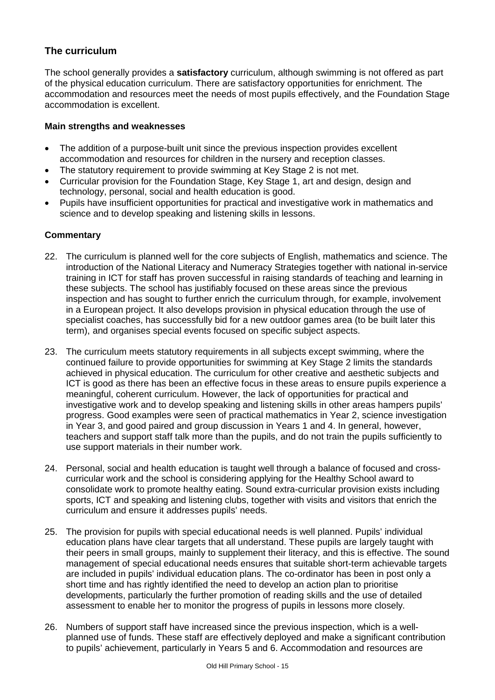# **The curriculum**

The school generally provides a **satisfactory** curriculum, although swimming is not offered as part of the physical education curriculum. There are satisfactory opportunities for enrichment. The accommodation and resources meet the needs of most pupils effectively, and the Foundation Stage accommodation is excellent.

#### **Main strengths and weaknesses**

- The addition of a purpose-built unit since the previous inspection provides excellent accommodation and resources for children in the nursery and reception classes.
- The statutory requirement to provide swimming at Key Stage 2 is not met.
- Curricular provision for the Foundation Stage, Key Stage 1, art and design, design and technology, personal, social and health education is good.
- Pupils have insufficient opportunities for practical and investigative work in mathematics and science and to develop speaking and listening skills in lessons.

- 22. The curriculum is planned well for the core subjects of English, mathematics and science. The introduction of the National Literacy and Numeracy Strategies together with national in-service training in ICT for staff has proven successful in raising standards of teaching and learning in these subjects. The school has justifiably focused on these areas since the previous inspection and has sought to further enrich the curriculum through, for example, involvement in a European project. It also develops provision in physical education through the use of specialist coaches, has successfully bid for a new outdoor games area (to be built later this term), and organises special events focused on specific subject aspects.
- 23. The curriculum meets statutory requirements in all subjects except swimming, where the continued failure to provide opportunities for swimming at Key Stage 2 limits the standards achieved in physical education. The curriculum for other creative and aesthetic subjects and ICT is good as there has been an effective focus in these areas to ensure pupils experience a meaningful, coherent curriculum. However, the lack of opportunities for practical and investigative work and to develop speaking and listening skills in other areas hampers pupils' progress. Good examples were seen of practical mathematics in Year 2, science investigation in Year 3, and good paired and group discussion in Years 1 and 4. In general, however, teachers and support staff talk more than the pupils, and do not train the pupils sufficiently to use support materials in their number work.
- 24. Personal, social and health education is taught well through a balance of focused and crosscurricular work and the school is considering applying for the Healthy School award to consolidate work to promote healthy eating. Sound extra-curricular provision exists including sports, ICT and speaking and listening clubs, together with visits and visitors that enrich the curriculum and ensure it addresses pupils' needs.
- 25. The provision for pupils with special educational needs is well planned. Pupils' individual education plans have clear targets that all understand. These pupils are largely taught with their peers in small groups, mainly to supplement their literacy, and this is effective. The sound management of special educational needs ensures that suitable short-term achievable targets are included in pupils' individual education plans. The co-ordinator has been in post only a short time and has rightly identified the need to develop an action plan to prioritise developments, particularly the further promotion of reading skills and the use of detailed assessment to enable her to monitor the progress of pupils in lessons more closely.
- 26. Numbers of support staff have increased since the previous inspection, which is a wellplanned use of funds. These staff are effectively deployed and make a significant contribution to pupils' achievement, particularly in Years 5 and 6. Accommodation and resources are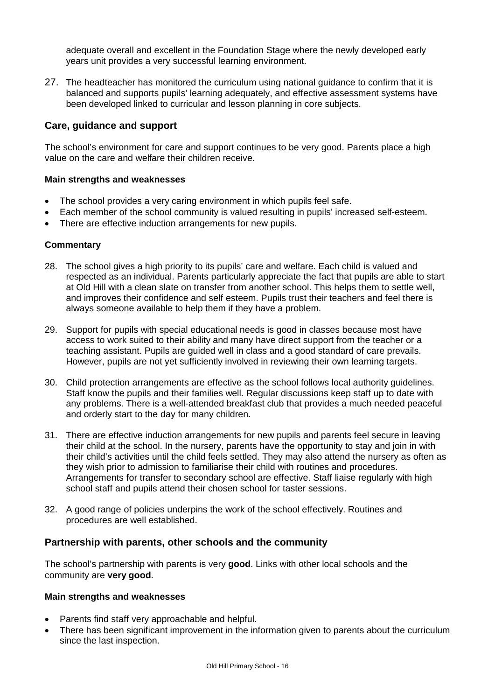adequate overall and excellent in the Foundation Stage where the newly developed early years unit provides a very successful learning environment.

27. The headteacher has monitored the curriculum using national guidance to confirm that it is balanced and supports pupils' learning adequately, and effective assessment systems have been developed linked to curricular and lesson planning in core subjects.

# **Care, guidance and support**

The school's environment for care and support continues to be very good. Parents place a high value on the care and welfare their children receive.

#### **Main strengths and weaknesses**

- The school provides a very caring environment in which pupils feel safe.
- Each member of the school community is valued resulting in pupils' increased self-esteem.
- There are effective induction arrangements for new pupils.

#### **Commentary**

- 28. The school gives a high priority to its pupils' care and welfare. Each child is valued and respected as an individual. Parents particularly appreciate the fact that pupils are able to start at Old Hill with a clean slate on transfer from another school. This helps them to settle well, and improves their confidence and self esteem. Pupils trust their teachers and feel there is always someone available to help them if they have a problem.
- 29. Support for pupils with special educational needs is good in classes because most have access to work suited to their ability and many have direct support from the teacher or a teaching assistant. Pupils are guided well in class and a good standard of care prevails. However, pupils are not yet sufficiently involved in reviewing their own learning targets.
- 30. Child protection arrangements are effective as the school follows local authority guidelines. Staff know the pupils and their families well. Regular discussions keep staff up to date with any problems. There is a well-attended breakfast club that provides a much needed peaceful and orderly start to the day for many children.
- 31. There are effective induction arrangements for new pupils and parents feel secure in leaving their child at the school. In the nursery, parents have the opportunity to stay and join in with their child's activities until the child feels settled. They may also attend the nursery as often as they wish prior to admission to familiarise their child with routines and procedures. Arrangements for transfer to secondary school are effective. Staff liaise regularly with high school staff and pupils attend their chosen school for taster sessions.
- 32. A good range of policies underpins the work of the school effectively. Routines and procedures are well established.

#### **Partnership with parents, other schools and the community**

The school's partnership with parents is very **good**. Links with other local schools and the community are **very good**.

#### **Main strengths and weaknesses**

- Parents find staff very approachable and helpful.
- There has been significant improvement in the information given to parents about the curriculum since the last inspection.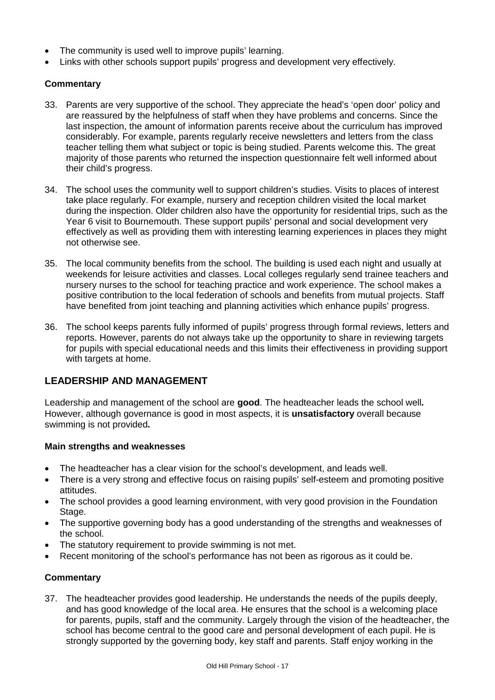- The community is used well to improve pupils' learning.
- Links with other schools support pupils' progress and development very effectively.

# **Commentary**

- 33. Parents are very supportive of the school. They appreciate the head's 'open door' policy and are reassured by the helpfulness of staff when they have problems and concerns. Since the last inspection, the amount of information parents receive about the curriculum has improved considerably. For example, parents regularly receive newsletters and letters from the class teacher telling them what subject or topic is being studied. Parents welcome this. The great majority of those parents who returned the inspection questionnaire felt well informed about their child's progress.
- 34. The school uses the community well to support children's studies. Visits to places of interest take place regularly. For example, nursery and reception children visited the local market during the inspection. Older children also have the opportunity for residential trips, such as the Year 6 visit to Bournemouth. These support pupils' personal and social development very effectively as well as providing them with interesting learning experiences in places they might not otherwise see.
- 35. The local community benefits from the school. The building is used each night and usually at weekends for leisure activities and classes. Local colleges regularly send trainee teachers and nursery nurses to the school for teaching practice and work experience. The school makes a positive contribution to the local federation of schools and benefits from mutual projects. Staff have benefited from joint teaching and planning activities which enhance pupils' progress.
- 36. The school keeps parents fully informed of pupils' progress through formal reviews, letters and reports. However, parents do not always take up the opportunity to share in reviewing targets for pupils with special educational needs and this limits their effectiveness in providing support with targets at home.

# **LEADERSHIP AND MANAGEMENT**

Leadership and management of the school are **good**. The headteacher leads the school well**.** However, although governance is good in most aspects, it is **unsatisfactory** overall because swimming is not provided**.**

#### **Main strengths and weaknesses**

- The headteacher has a clear vision for the school's development, and leads well.
- There is a very strong and effective focus on raising pupils' self-esteem and promoting positive attitudes.
- The school provides a good learning environment, with very good provision in the Foundation Stage.
- The supportive governing body has a good understanding of the strengths and weaknesses of the school.
- The statutory requirement to provide swimming is not met.
- Recent monitoring of the school's performance has not been as rigorous as it could be.

#### **Commentary**

37. The headteacher provides good leadership. He understands the needs of the pupils deeply, and has good knowledge of the local area. He ensures that the school is a welcoming place for parents, pupils, staff and the community. Largely through the vision of the headteacher, the school has become central to the good care and personal development of each pupil. He is strongly supported by the governing body, key staff and parents. Staff enjoy working in the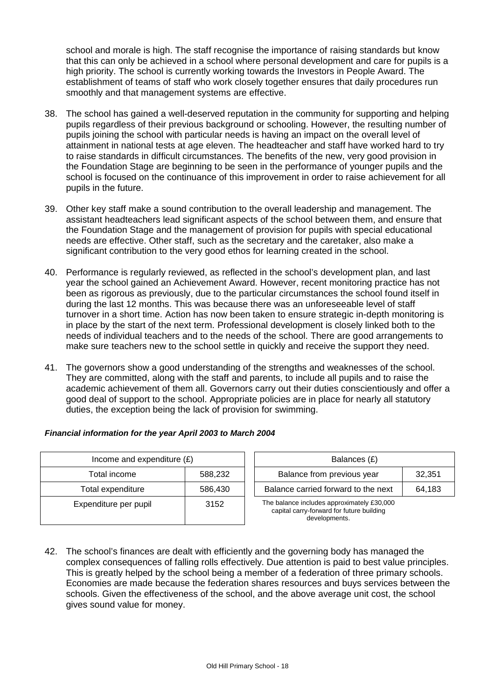school and morale is high. The staff recognise the importance of raising standards but know that this can only be achieved in a school where personal development and care for pupils is a high priority. The school is currently working towards the Investors in People Award. The establishment of teams of staff who work closely together ensures that daily procedures run smoothly and that management systems are effective.

- 38. The school has gained a well-deserved reputation in the community for supporting and helping pupils regardless of their previous background or schooling. However, the resulting number of pupils joining the school with particular needs is having an impact on the overall level of attainment in national tests at age eleven. The headteacher and staff have worked hard to try to raise standards in difficult circumstances. The benefits of the new, very good provision in the Foundation Stage are beginning to be seen in the performance of younger pupils and the school is focused on the continuance of this improvement in order to raise achievement for all pupils in the future.
- 39. Other key staff make a sound contribution to the overall leadership and management. The assistant headteachers lead significant aspects of the school between them, and ensure that the Foundation Stage and the management of provision for pupils with special educational needs are effective. Other staff, such as the secretary and the caretaker, also make a significant contribution to the very good ethos for learning created in the school.
- 40. Performance is regularly reviewed, as reflected in the school's development plan, and last year the school gained an Achievement Award. However, recent monitoring practice has not been as rigorous as previously, due to the particular circumstances the school found itself in during the last 12 months. This was because there was an unforeseeable level of staff turnover in a short time. Action has now been taken to ensure strategic in-depth monitoring is in place by the start of the next term. Professional development is closely linked both to the needs of individual teachers and to the needs of the school. There are good arrangements to make sure teachers new to the school settle in quickly and receive the support they need.
- 41. The governors show a good understanding of the strengths and weaknesses of the school. They are committed, along with the staff and parents, to include all pupils and to raise the academic achievement of them all. Governors carry out their duties conscientiously and offer a good deal of support to the school. Appropriate policies are in place for nearly all statutory duties, the exception being the lack of provision for swimming.

| Income and expenditure $(E)$ |         | Balances (£)                                                                                             |
|------------------------------|---------|----------------------------------------------------------------------------------------------------------|
| Total income                 | 588,232 | 32,351<br>Balance from previous year                                                                     |
| Total expenditure            | 586,430 | Balance carried forward to the next<br>64,183                                                            |
| Expenditure per pupil        | 3152    | The balance includes approximately £30,000<br>capital carry-forward for future building<br>developments. |

#### *Financial information for the year April 2003 to March 2004*

42. The school's finances are dealt with efficiently and the governing body has managed the complex consequences of falling rolls effectively. Due attention is paid to best value principles. This is greatly helped by the school being a member of a federation of three primary schools. Economies are made because the federation shares resources and buys services between the schools. Given the effectiveness of the school, and the above average unit cost, the school gives sound value for money.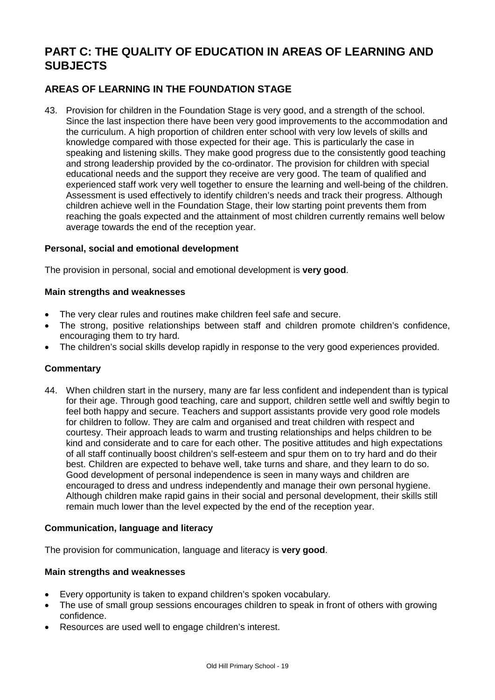# **PART C: THE QUALITY OF EDUCATION IN AREAS OF LEARNING AND SUBJECTS**

# **AREAS OF LEARNING IN THE FOUNDATION STAGE**

43. Provision for children in the Foundation Stage is very good, and a strength of the school. Since the last inspection there have been very good improvements to the accommodation and the curriculum. A high proportion of children enter school with very low levels of skills and knowledge compared with those expected for their age. This is particularly the case in speaking and listening skills. They make good progress due to the consistently good teaching and strong leadership provided by the co-ordinator. The provision for children with special educational needs and the support they receive are very good. The team of qualified and experienced staff work very well together to ensure the learning and well-being of the children. Assessment is used effectively to identify children's needs and track their progress. Although children achieve well in the Foundation Stage, their low starting point prevents them from reaching the goals expected and the attainment of most children currently remains well below average towards the end of the reception year.

#### **Personal, social and emotional development**

The provision in personal, social and emotional development is **very good**.

#### **Main strengths and weaknesses**

- The very clear rules and routines make children feel safe and secure.
- The strong, positive relationships between staff and children promote children's confidence, encouraging them to try hard.
- The children's social skills develop rapidly in response to the very good experiences provided.

#### **Commentary**

44. When children start in the nursery, many are far less confident and independent than is typical for their age. Through good teaching, care and support, children settle well and swiftly begin to feel both happy and secure. Teachers and support assistants provide very good role models for children to follow. They are calm and organised and treat children with respect and courtesy. Their approach leads to warm and trusting relationships and helps children to be kind and considerate and to care for each other. The positive attitudes and high expectations of all staff continually boost children's self-esteem and spur them on to try hard and do their best. Children are expected to behave well, take turns and share, and they learn to do so. Good development of personal independence is seen in many ways and children are encouraged to dress and undress independently and manage their own personal hygiene. Although children make rapid gains in their social and personal development, their skills still remain much lower than the level expected by the end of the reception year.

#### **Communication, language and literacy**

The provision for communication, language and literacy is **very good**.

#### **Main strengths and weaknesses**

- Every opportunity is taken to expand children's spoken vocabulary.
- The use of small group sessions encourages children to speak in front of others with growing confidence.
- Resources are used well to engage children's interest.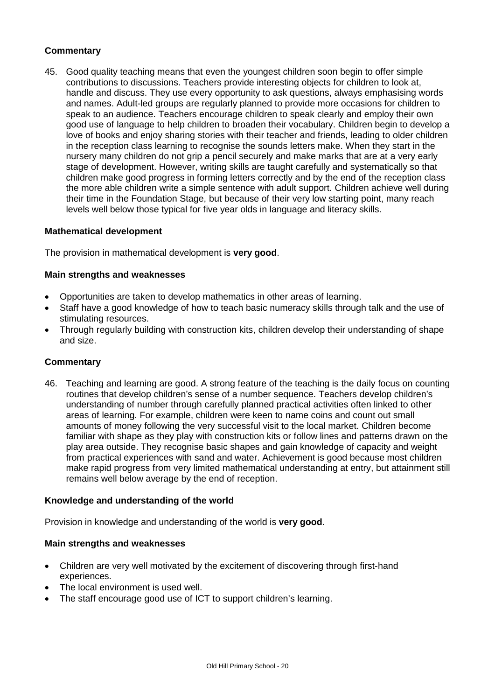# **Commentary**

45. Good quality teaching means that even the youngest children soon begin to offer simple contributions to discussions. Teachers provide interesting objects for children to look at, handle and discuss. They use every opportunity to ask questions, always emphasising words and names. Adult-led groups are regularly planned to provide more occasions for children to speak to an audience. Teachers encourage children to speak clearly and employ their own good use of language to help children to broaden their vocabulary. Children begin to develop a love of books and enjoy sharing stories with their teacher and friends, leading to older children in the reception class learning to recognise the sounds letters make. When they start in the nursery many children do not grip a pencil securely and make marks that are at a very early stage of development. However, writing skills are taught carefully and systematically so that children make good progress in forming letters correctly and by the end of the reception class the more able children write a simple sentence with adult support. Children achieve well during their time in the Foundation Stage, but because of their very low starting point, many reach levels well below those typical for five year olds in language and literacy skills.

#### **Mathematical development**

The provision in mathematical development is **very good**.

#### **Main strengths and weaknesses**

- Opportunities are taken to develop mathematics in other areas of learning.
- Staff have a good knowledge of how to teach basic numeracy skills through talk and the use of stimulating resources.
- Through regularly building with construction kits, children develop their understanding of shape and size.

#### **Commentary**

46. Teaching and learning are good. A strong feature of the teaching is the daily focus on counting routines that develop children's sense of a number sequence. Teachers develop children's understanding of number through carefully planned practical activities often linked to other areas of learning. For example, children were keen to name coins and count out small amounts of money following the very successful visit to the local market. Children become familiar with shape as they play with construction kits or follow lines and patterns drawn on the play area outside. They recognise basic shapes and gain knowledge of capacity and weight from practical experiences with sand and water. Achievement is good because most children make rapid progress from very limited mathematical understanding at entry, but attainment still remains well below average by the end of reception.

#### **Knowledge and understanding of the world**

Provision in knowledge and understanding of the world is **very good**.

#### **Main strengths and weaknesses**

- Children are very well motivated by the excitement of discovering through first-hand experiences.
- The local environment is used well.
- The staff encourage good use of ICT to support children's learning.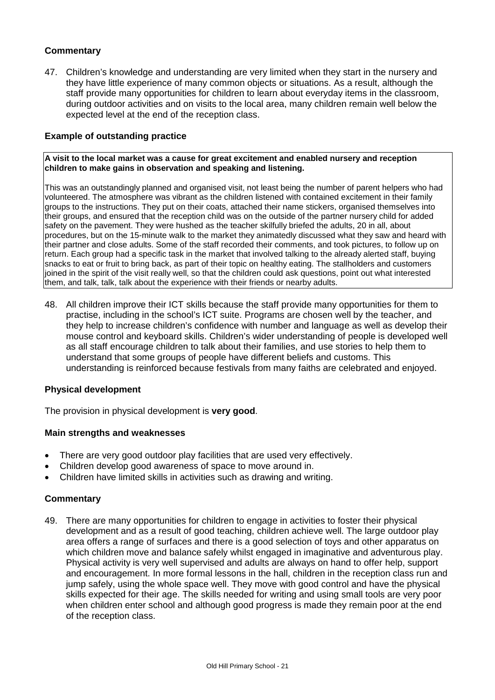# **Commentary**

47. Children's knowledge and understanding are very limited when they start in the nursery and they have little experience of many common objects or situations. As a result, although the staff provide many opportunities for children to learn about everyday items in the classroom, during outdoor activities and on visits to the local area, many children remain well below the expected level at the end of the reception class.

#### **Example of outstanding practice**

**A visit to the local market was a cause for great excitement and enabled nursery and reception children to make gains in observation and speaking and listening.** 

This was an outstandingly planned and organised visit, not least being the number of parent helpers who had volunteered. The atmosphere was vibrant as the children listened with contained excitement in their family groups to the instructions. They put on their coats, attached their name stickers, organised themselves into their groups, and ensured that the reception child was on the outside of the partner nursery child for added safety on the pavement. They were hushed as the teacher skilfully briefed the adults, 20 in all, about procedures, but on the 15-minute walk to the market they animatedly discussed what they saw and heard with their partner and close adults. Some of the staff recorded their comments, and took pictures, to follow up on return. Each group had a specific task in the market that involved talking to the already alerted staff, buying snacks to eat or fruit to bring back, as part of their topic on healthy eating. The stallholders and customers joined in the spirit of the visit really well, so that the children could ask questions, point out what interested them, and talk, talk, talk about the experience with their friends or nearby adults.

48. All children improve their ICT skills because the staff provide many opportunities for them to practise, including in the school's ICT suite. Programs are chosen well by the teacher, and they help to increase children's confidence with number and language as well as develop their mouse control and keyboard skills. Children's wider understanding of people is developed well as all staff encourage children to talk about their families, and use stories to help them to understand that some groups of people have different beliefs and customs. This understanding is reinforced because festivals from many faiths are celebrated and enjoyed.

#### **Physical development**

The provision in physical development is **very good**.

#### **Main strengths and weaknesses**

- There are very good outdoor play facilities that are used very effectively.
- Children develop good awareness of space to move around in.
- Children have limited skills in activities such as drawing and writing.

#### **Commentary**

49. There are many opportunities for children to engage in activities to foster their physical development and as a result of good teaching, children achieve well. The large outdoor play area offers a range of surfaces and there is a good selection of toys and other apparatus on which children move and balance safely whilst engaged in imaginative and adventurous play. Physical activity is very well supervised and adults are always on hand to offer help, support and encouragement. In more formal lessons in the hall, children in the reception class run and jump safely, using the whole space well. They move with good control and have the physical skills expected for their age. The skills needed for writing and using small tools are very poor when children enter school and although good progress is made they remain poor at the end of the reception class.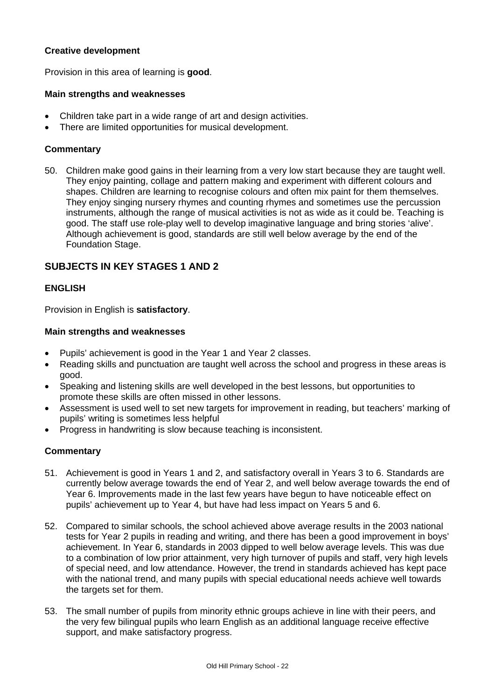# **Creative development**

Provision in this area of learning is **good**.

#### **Main strengths and weaknesses**

- Children take part in a wide range of art and design activities.
- There are limited opportunities for musical development.

#### **Commentary**

50. Children make good gains in their learning from a very low start because they are taught well. They enjoy painting, collage and pattern making and experiment with different colours and shapes. Children are learning to recognise colours and often mix paint for them themselves. They enjoy singing nursery rhymes and counting rhymes and sometimes use the percussion instruments, although the range of musical activities is not as wide as it could be. Teaching is good. The staff use role-play well to develop imaginative language and bring stories 'alive'. Although achievement is good, standards are still well below average by the end of the Foundation Stage.

# **SUBJECTS IN KEY STAGES 1 AND 2**

#### **ENGLISH**

Provision in English is **satisfactory**.

#### **Main strengths and weaknesses**

- Pupils' achievement is good in the Year 1 and Year 2 classes.
- Reading skills and punctuation are taught well across the school and progress in these areas is good.
- Speaking and listening skills are well developed in the best lessons, but opportunities to promote these skills are often missed in other lessons.
- Assessment is used well to set new targets for improvement in reading, but teachers' marking of pupils' writing is sometimes less helpful
- Progress in handwriting is slow because teaching is inconsistent.

- 51. Achievement is good in Years 1 and 2, and satisfactory overall in Years 3 to 6. Standards are currently below average towards the end of Year 2, and well below average towards the end of Year 6. Improvements made in the last few years have begun to have noticeable effect on pupils' achievement up to Year 4, but have had less impact on Years 5 and 6.
- 52. Compared to similar schools, the school achieved above average results in the 2003 national tests for Year 2 pupils in reading and writing, and there has been a good improvement in boys' achievement. In Year 6, standards in 2003 dipped to well below average levels. This was due to a combination of low prior attainment, very high turnover of pupils and staff, very high levels of special need, and low attendance. However, the trend in standards achieved has kept pace with the national trend, and many pupils with special educational needs achieve well towards the targets set for them.
- 53. The small number of pupils from minority ethnic groups achieve in line with their peers, and the very few bilingual pupils who learn English as an additional language receive effective support, and make satisfactory progress.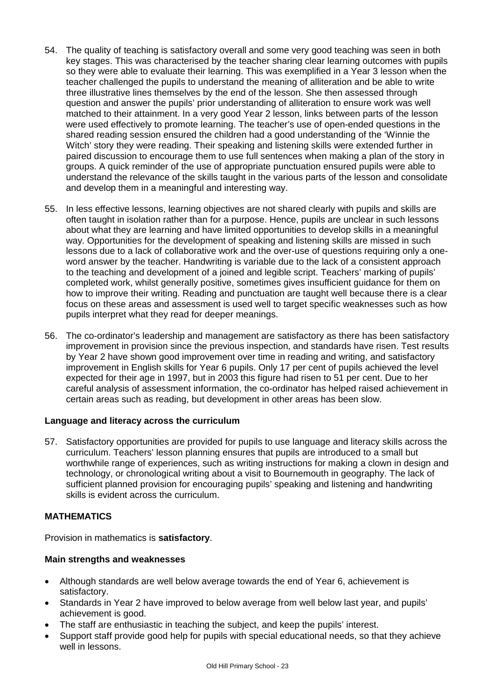- 54. The quality of teaching is satisfactory overall and some very good teaching was seen in both key stages. This was characterised by the teacher sharing clear learning outcomes with pupils so they were able to evaluate their learning. This was exemplified in a Year 3 lesson when the teacher challenged the pupils to understand the meaning of alliteration and be able to write three illustrative lines themselves by the end of the lesson. She then assessed through question and answer the pupils' prior understanding of alliteration to ensure work was well matched to their attainment. In a very good Year 2 lesson, links between parts of the lesson were used effectively to promote learning. The teacher's use of open-ended questions in the shared reading session ensured the children had a good understanding of the 'Winnie the Witch' story they were reading. Their speaking and listening skills were extended further in paired discussion to encourage them to use full sentences when making a plan of the story in groups. A quick reminder of the use of appropriate punctuation ensured pupils were able to understand the relevance of the skills taught in the various parts of the lesson and consolidate and develop them in a meaningful and interesting way.
- 55. In less effective lessons, learning objectives are not shared clearly with pupils and skills are often taught in isolation rather than for a purpose. Hence, pupils are unclear in such lessons about what they are learning and have limited opportunities to develop skills in a meaningful way. Opportunities for the development of speaking and listening skills are missed in such lessons due to a lack of collaborative work and the over-use of questions requiring only a oneword answer by the teacher. Handwriting is variable due to the lack of a consistent approach to the teaching and development of a joined and legible script. Teachers' marking of pupils' completed work, whilst generally positive, sometimes gives insufficient guidance for them on how to improve their writing. Reading and punctuation are taught well because there is a clear focus on these areas and assessment is used well to target specific weaknesses such as how pupils interpret what they read for deeper meanings.
- 56. The co-ordinator's leadership and management are satisfactory as there has been satisfactory improvement in provision since the previous inspection, and standards have risen. Test results by Year 2 have shown good improvement over time in reading and writing, and satisfactory improvement in English skills for Year 6 pupils. Only 17 per cent of pupils achieved the level expected for their age in 1997, but in 2003 this figure had risen to 51 per cent. Due to her careful analysis of assessment information, the co-ordinator has helped raised achievement in certain areas such as reading, but development in other areas has been slow.

# **Language and literacy across the curriculum**

57. Satisfactory opportunities are provided for pupils to use language and literacy skills across the curriculum. Teachers' lesson planning ensures that pupils are introduced to a small but worthwhile range of experiences, such as writing instructions for making a clown in design and technology, or chronological writing about a visit to Bournemouth in geography. The lack of sufficient planned provision for encouraging pupils' speaking and listening and handwriting skills is evident across the curriculum.

# **MATHEMATICS**

Provision in mathematics is **satisfactory**.

#### **Main strengths and weaknesses**

- Although standards are well below average towards the end of Year 6, achievement is satisfactory.
- Standards in Year 2 have improved to below average from well below last year, and pupils' achievement is good.
- The staff are enthusiastic in teaching the subject, and keep the pupils' interest.
- Support staff provide good help for pupils with special educational needs, so that they achieve well in lessons.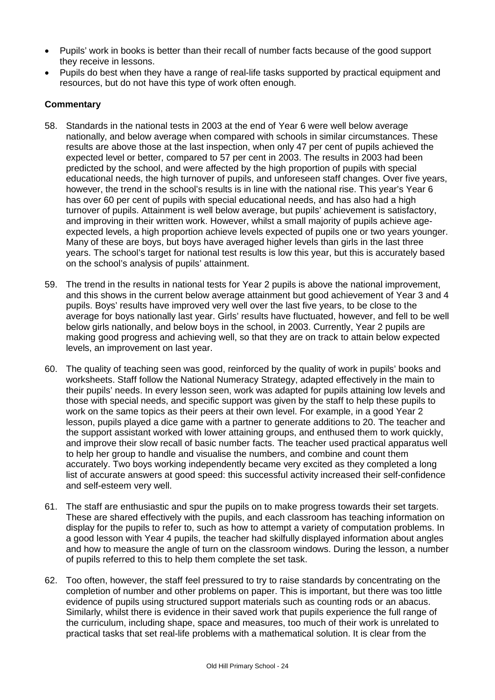- Pupils' work in books is better than their recall of number facts because of the good support they receive in lessons.
- Pupils do best when they have a range of real-life tasks supported by practical equipment and resources, but do not have this type of work often enough.

- 58. Standards in the national tests in 2003 at the end of Year 6 were well below average nationally, and below average when compared with schools in similar circumstances. These results are above those at the last inspection, when only 47 per cent of pupils achieved the expected level or better, compared to 57 per cent in 2003. The results in 2003 had been predicted by the school, and were affected by the high proportion of pupils with special educational needs, the high turnover of pupils, and unforeseen staff changes. Over five years, however, the trend in the school's results is in line with the national rise. This year's Year 6 has over 60 per cent of pupils with special educational needs, and has also had a high turnover of pupils. Attainment is well below average, but pupils' achievement is satisfactory, and improving in their written work. However, whilst a small majority of pupils achieve ageexpected levels, a high proportion achieve levels expected of pupils one or two years younger. Many of these are boys, but boys have averaged higher levels than girls in the last three years. The school's target for national test results is low this year, but this is accurately based on the school's analysis of pupils' attainment.
- 59. The trend in the results in national tests for Year 2 pupils is above the national improvement, and this shows in the current below average attainment but good achievement of Year 3 and 4 pupils. Boys' results have improved very well over the last five years, to be close to the average for boys nationally last year. Girls' results have fluctuated, however, and fell to be well below girls nationally, and below boys in the school, in 2003. Currently, Year 2 pupils are making good progress and achieving well, so that they are on track to attain below expected levels, an improvement on last year.
- 60. The quality of teaching seen was good, reinforced by the quality of work in pupils' books and worksheets. Staff follow the National Numeracy Strategy, adapted effectively in the main to their pupils' needs. In every lesson seen, work was adapted for pupils attaining low levels and those with special needs, and specific support was given by the staff to help these pupils to work on the same topics as their peers at their own level. For example, in a good Year 2 lesson, pupils played a dice game with a partner to generate additions to 20. The teacher and the support assistant worked with lower attaining groups, and enthused them to work quickly, and improve their slow recall of basic number facts. The teacher used practical apparatus well to help her group to handle and visualise the numbers, and combine and count them accurately. Two boys working independently became very excited as they completed a long list of accurate answers at good speed: this successful activity increased their self-confidence and self-esteem very well.
- 61. The staff are enthusiastic and spur the pupils on to make progress towards their set targets. These are shared effectively with the pupils, and each classroom has teaching information on display for the pupils to refer to, such as how to attempt a variety of computation problems. In a good lesson with Year 4 pupils, the teacher had skilfully displayed information about angles and how to measure the angle of turn on the classroom windows. During the lesson, a number of pupils referred to this to help them complete the set task.
- 62. Too often, however, the staff feel pressured to try to raise standards by concentrating on the completion of number and other problems on paper. This is important, but there was too little evidence of pupils using structured support materials such as counting rods or an abacus. Similarly, whilst there is evidence in their saved work that pupils experience the full range of the curriculum, including shape, space and measures, too much of their work is unrelated to practical tasks that set real-life problems with a mathematical solution. It is clear from the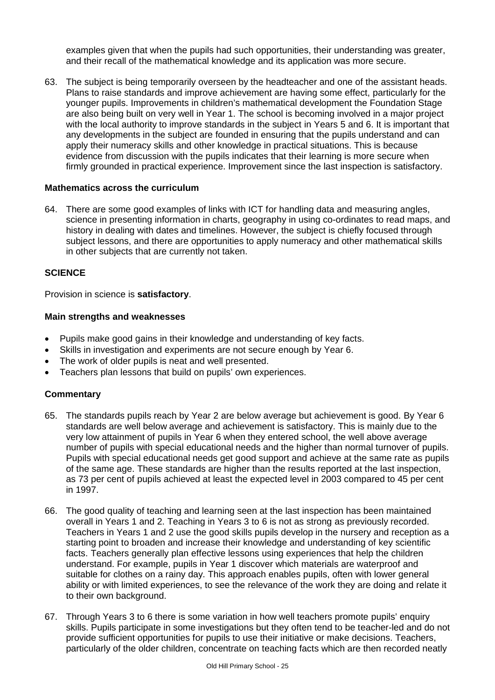examples given that when the pupils had such opportunities, their understanding was greater, and their recall of the mathematical knowledge and its application was more secure.

63. The subject is being temporarily overseen by the headteacher and one of the assistant heads. Plans to raise standards and improve achievement are having some effect, particularly for the younger pupils. Improvements in children's mathematical development the Foundation Stage are also being built on very well in Year 1. The school is becoming involved in a major project with the local authority to improve standards in the subject in Years 5 and 6. It is important that any developments in the subject are founded in ensuring that the pupils understand and can apply their numeracy skills and other knowledge in practical situations. This is because evidence from discussion with the pupils indicates that their learning is more secure when firmly grounded in practical experience. Improvement since the last inspection is satisfactory.

#### **Mathematics across the curriculum**

64. There are some good examples of links with ICT for handling data and measuring angles, science in presenting information in charts, geography in using co-ordinates to read maps, and history in dealing with dates and timelines. However, the subject is chiefly focused through subject lessons, and there are opportunities to apply numeracy and other mathematical skills in other subjects that are currently not taken.

#### **SCIENCE**

Provision in science is **satisfactory**.

#### **Main strengths and weaknesses**

- Pupils make good gains in their knowledge and understanding of key facts.
- Skills in investigation and experiments are not secure enough by Year 6.
- The work of older pupils is neat and well presented.
- Teachers plan lessons that build on pupils' own experiences.

- 65. The standards pupils reach by Year 2 are below average but achievement is good. By Year 6 standards are well below average and achievement is satisfactory. This is mainly due to the very low attainment of pupils in Year 6 when they entered school, the well above average number of pupils with special educational needs and the higher than normal turnover of pupils. Pupils with special educational needs get good support and achieve at the same rate as pupils of the same age. These standards are higher than the results reported at the last inspection, as 73 per cent of pupils achieved at least the expected level in 2003 compared to 45 per cent in 1997.
- 66. The good quality of teaching and learning seen at the last inspection has been maintained overall in Years 1 and 2. Teaching in Years 3 to 6 is not as strong as previously recorded. Teachers in Years 1 and 2 use the good skills pupils develop in the nursery and reception as a starting point to broaden and increase their knowledge and understanding of key scientific facts. Teachers generally plan effective lessons using experiences that help the children understand. For example, pupils in Year 1 discover which materials are waterproof and suitable for clothes on a rainy day. This approach enables pupils, often with lower general ability or with limited experiences, to see the relevance of the work they are doing and relate it to their own background.
- 67. Through Years 3 to 6 there is some variation in how well teachers promote pupils' enquiry skills. Pupils participate in some investigations but they often tend to be teacher-led and do not provide sufficient opportunities for pupils to use their initiative or make decisions. Teachers, particularly of the older children, concentrate on teaching facts which are then recorded neatly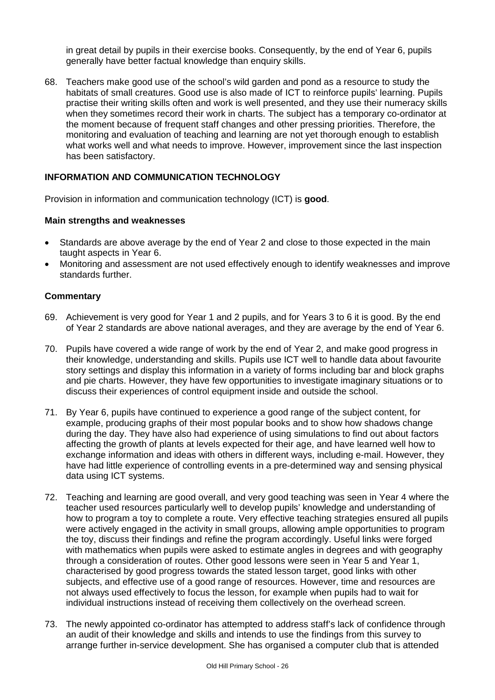in great detail by pupils in their exercise books. Consequently, by the end of Year 6, pupils generally have better factual knowledge than enquiry skills.

68. Teachers make good use of the school's wild garden and pond as a resource to study the habitats of small creatures. Good use is also made of ICT to reinforce pupils' learning. Pupils practise their writing skills often and work is well presented, and they use their numeracy skills when they sometimes record their work in charts. The subject has a temporary co-ordinator at the moment because of frequent staff changes and other pressing priorities. Therefore, the monitoring and evaluation of teaching and learning are not yet thorough enough to establish what works well and what needs to improve. However, improvement since the last inspection has been satisfactory.

#### **INFORMATION AND COMMUNICATION TECHNOLOGY**

Provision in information and communication technology (ICT) is **good**.

#### **Main strengths and weaknesses**

- Standards are above average by the end of Year 2 and close to those expected in the main taught aspects in Year 6.
- Monitoring and assessment are not used effectively enough to identify weaknesses and improve standards further.

- 69. Achievement is very good for Year 1 and 2 pupils, and for Years 3 to 6 it is good. By the end of Year 2 standards are above national averages, and they are average by the end of Year 6.
- 70. Pupils have covered a wide range of work by the end of Year 2, and make good progress in their knowledge, understanding and skills. Pupils use ICT well to handle data about favourite story settings and display this information in a variety of forms including bar and block graphs and pie charts. However, they have few opportunities to investigate imaginary situations or to discuss their experiences of control equipment inside and outside the school.
- 71. By Year 6, pupils have continued to experience a good range of the subject content, for example, producing graphs of their most popular books and to show how shadows change during the day. They have also had experience of using simulations to find out about factors affecting the growth of plants at levels expected for their age, and have learned well how to exchange information and ideas with others in different ways, including e-mail. However, they have had little experience of controlling events in a pre-determined way and sensing physical data using ICT systems.
- 72. Teaching and learning are good overall, and very good teaching was seen in Year 4 where the teacher used resources particularly well to develop pupils' knowledge and understanding of how to program a toy to complete a route. Very effective teaching strategies ensured all pupils were actively engaged in the activity in small groups, allowing ample opportunities to program the toy, discuss their findings and refine the program accordingly. Useful links were forged with mathematics when pupils were asked to estimate angles in degrees and with geography through a consideration of routes. Other good lessons were seen in Year 5 and Year 1, characterised by good progress towards the stated lesson target, good links with other subjects, and effective use of a good range of resources. However, time and resources are not always used effectively to focus the lesson, for example when pupils had to wait for individual instructions instead of receiving them collectively on the overhead screen.
- 73. The newly appointed co-ordinator has attempted to address staff's lack of confidence through an audit of their knowledge and skills and intends to use the findings from this survey to arrange further in-service development. She has organised a computer club that is attended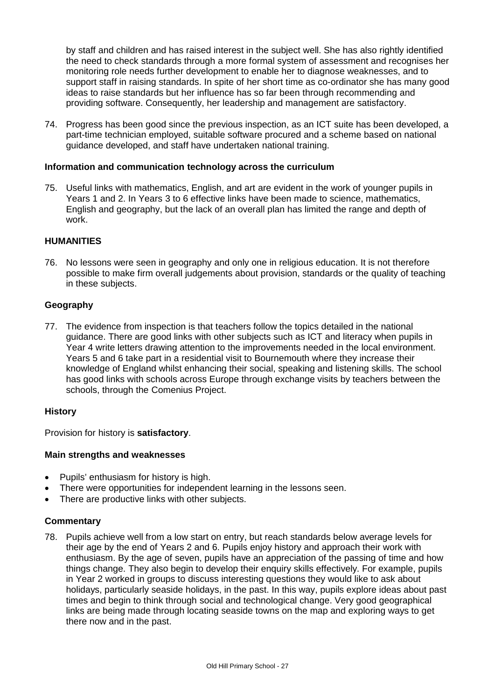by staff and children and has raised interest in the subject well. She has also rightly identified the need to check standards through a more formal system of assessment and recognises her monitoring role needs further development to enable her to diagnose weaknesses, and to support staff in raising standards. In spite of her short time as co-ordinator she has many good ideas to raise standards but her influence has so far been through recommending and providing software. Consequently, her leadership and management are satisfactory.

74. Progress has been good since the previous inspection, as an ICT suite has been developed, a part-time technician employed, suitable software procured and a scheme based on national guidance developed, and staff have undertaken national training.

#### **Information and communication technology across the curriculum**

75. Useful links with mathematics, English, and art are evident in the work of younger pupils in Years 1 and 2. In Years 3 to 6 effective links have been made to science, mathematics, English and geography, but the lack of an overall plan has limited the range and depth of work.

#### **HUMANITIES**

76. No lessons were seen in geography and only one in religious education. It is not therefore possible to make firm overall judgements about provision, standards or the quality of teaching in these subjects.

#### **Geography**

77. The evidence from inspection is that teachers follow the topics detailed in the national guidance. There are good links with other subjects such as ICT and literacy when pupils in Year 4 write letters drawing attention to the improvements needed in the local environment. Years 5 and 6 take part in a residential visit to Bournemouth where they increase their knowledge of England whilst enhancing their social, speaking and listening skills. The school has good links with schools across Europe through exchange visits by teachers between the schools, through the Comenius Project.

#### **History**

Provision for history is **satisfactory**.

#### **Main strengths and weaknesses**

- Pupils' enthusiasm for history is high.
- There were opportunities for independent learning in the lessons seen.
- There are productive links with other subjects.

#### **Commentary**

78. Pupils achieve well from a low start on entry, but reach standards below average levels for their age by the end of Years 2 and 6. Pupils enjoy history and approach their work with enthusiasm. By the age of seven, pupils have an appreciation of the passing of time and how things change. They also begin to develop their enquiry skills effectively. For example, pupils in Year 2 worked in groups to discuss interesting questions they would like to ask about holidays, particularly seaside holidays, in the past. In this way, pupils explore ideas about past times and begin to think through social and technological change. Very good geographical links are being made through locating seaside towns on the map and exploring ways to get there now and in the past.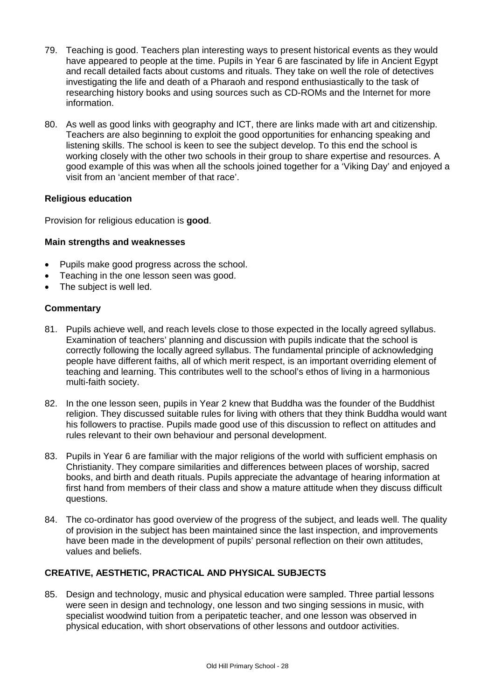- 79. Teaching is good. Teachers plan interesting ways to present historical events as they would have appeared to people at the time. Pupils in Year 6 are fascinated by life in Ancient Egypt and recall detailed facts about customs and rituals. They take on well the role of detectives investigating the life and death of a Pharaoh and respond enthusiastically to the task of researching history books and using sources such as CD-ROMs and the Internet for more information.
- 80. As well as good links with geography and ICT, there are links made with art and citizenship. Teachers are also beginning to exploit the good opportunities for enhancing speaking and listening skills. The school is keen to see the subject develop. To this end the school is working closely with the other two schools in their group to share expertise and resources. A good example of this was when all the schools joined together for a 'Viking Day' and enjoyed a visit from an 'ancient member of that race'.

# **Religious education**

Provision for religious education is **good**.

#### **Main strengths and weaknesses**

- Pupils make good progress across the school.
- Teaching in the one lesson seen was good.
- The subject is well led.

#### **Commentary**

- 81. Pupils achieve well, and reach levels close to those expected in the locally agreed syllabus. Examination of teachers' planning and discussion with pupils indicate that the school is correctly following the locally agreed syllabus. The fundamental principle of acknowledging people have different faiths, all of which merit respect, is an important overriding element of teaching and learning. This contributes well to the school's ethos of living in a harmonious multi-faith society.
- 82. In the one lesson seen, pupils in Year 2 knew that Buddha was the founder of the Buddhist religion. They discussed suitable rules for living with others that they think Buddha would want his followers to practise. Pupils made good use of this discussion to reflect on attitudes and rules relevant to their own behaviour and personal development.
- 83. Pupils in Year 6 are familiar with the major religions of the world with sufficient emphasis on Christianity. They compare similarities and differences between places of worship, sacred books, and birth and death rituals. Pupils appreciate the advantage of hearing information at first hand from members of their class and show a mature attitude when they discuss difficult questions.
- 84. The co-ordinator has good overview of the progress of the subject, and leads well. The quality of provision in the subject has been maintained since the last inspection, and improvements have been made in the development of pupils' personal reflection on their own attitudes, values and beliefs.

# **CREATIVE, AESTHETIC, PRACTICAL AND PHYSICAL SUBJECTS**

85. Design and technology, music and physical education were sampled. Three partial lessons were seen in design and technology, one lesson and two singing sessions in music, with specialist woodwind tuition from a peripatetic teacher, and one lesson was observed in physical education, with short observations of other lessons and outdoor activities.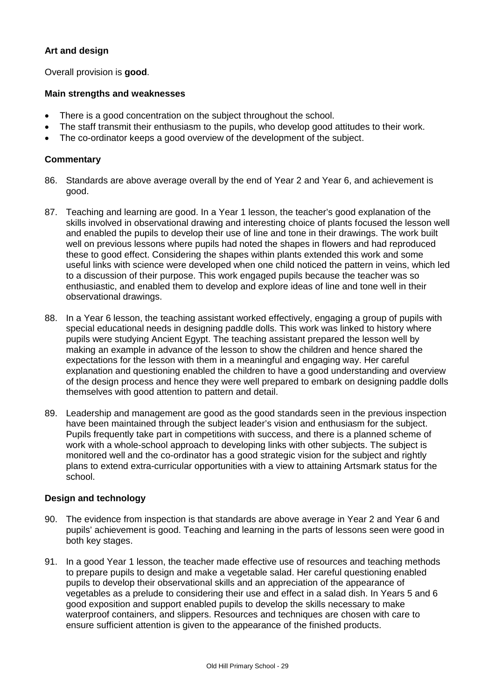# **Art and design**

Overall provision is **good**.

#### **Main strengths and weaknesses**

- There is a good concentration on the subject throughout the school.
- The staff transmit their enthusiasm to the pupils, who develop good attitudes to their work.
- The co-ordinator keeps a good overview of the development of the subject.

#### **Commentary**

- 86. Standards are above average overall by the end of Year 2 and Year 6, and achievement is good.
- 87. Teaching and learning are good. In a Year 1 lesson, the teacher's good explanation of the skills involved in observational drawing and interesting choice of plants focused the lesson well and enabled the pupils to develop their use of line and tone in their drawings. The work built well on previous lessons where pupils had noted the shapes in flowers and had reproduced these to good effect. Considering the shapes within plants extended this work and some useful links with science were developed when one child noticed the pattern in veins, which led to a discussion of their purpose. This work engaged pupils because the teacher was so enthusiastic, and enabled them to develop and explore ideas of line and tone well in their observational drawings.
- 88. In a Year 6 lesson, the teaching assistant worked effectively, engaging a group of pupils with special educational needs in designing paddle dolls. This work was linked to history where pupils were studying Ancient Egypt. The teaching assistant prepared the lesson well by making an example in advance of the lesson to show the children and hence shared the expectations for the lesson with them in a meaningful and engaging way. Her careful explanation and questioning enabled the children to have a good understanding and overview of the design process and hence they were well prepared to embark on designing paddle dolls themselves with good attention to pattern and detail.
- 89. Leadership and management are good as the good standards seen in the previous inspection have been maintained through the subject leader's vision and enthusiasm for the subject. Pupils frequently take part in competitions with success, and there is a planned scheme of work with a whole-school approach to developing links with other subjects. The subject is monitored well and the co-ordinator has a good strategic vision for the subject and rightly plans to extend extra-curricular opportunities with a view to attaining Artsmark status for the school.

#### **Design and technology**

- 90. The evidence from inspection is that standards are above average in Year 2 and Year 6 and pupils' achievement is good. Teaching and learning in the parts of lessons seen were good in both key stages.
- 91. In a good Year 1 lesson, the teacher made effective use of resources and teaching methods to prepare pupils to design and make a vegetable salad. Her careful questioning enabled pupils to develop their observational skills and an appreciation of the appearance of vegetables as a prelude to considering their use and effect in a salad dish. In Years 5 and 6 good exposition and support enabled pupils to develop the skills necessary to make waterproof containers, and slippers. Resources and techniques are chosen with care to ensure sufficient attention is given to the appearance of the finished products.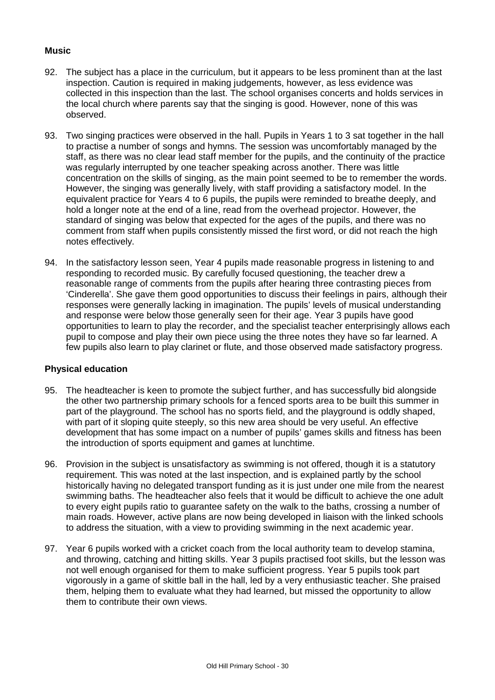### **Music**

- 92. The subject has a place in the curriculum, but it appears to be less prominent than at the last inspection. Caution is required in making judgements, however, as less evidence was collected in this inspection than the last. The school organises concerts and holds services in the local church where parents say that the singing is good. However, none of this was observed.
- 93. Two singing practices were observed in the hall. Pupils in Years 1 to 3 sat together in the hall to practise a number of songs and hymns. The session was uncomfortably managed by the staff, as there was no clear lead staff member for the pupils, and the continuity of the practice was regularly interrupted by one teacher speaking across another. There was little concentration on the skills of singing, as the main point seemed to be to remember the words. However, the singing was generally lively, with staff providing a satisfactory model. In the equivalent practice for Years 4 to 6 pupils, the pupils were reminded to breathe deeply, and hold a longer note at the end of a line, read from the overhead projector. However, the standard of singing was below that expected for the ages of the pupils, and there was no comment from staff when pupils consistently missed the first word, or did not reach the high notes effectively.
- 94. In the satisfactory lesson seen, Year 4 pupils made reasonable progress in listening to and responding to recorded music. By carefully focused questioning, the teacher drew a reasonable range of comments from the pupils after hearing three contrasting pieces from 'Cinderella'. She gave them good opportunities to discuss their feelings in pairs, although their responses were generally lacking in imagination. The pupils' levels of musical understanding and response were below those generally seen for their age. Year 3 pupils have good opportunities to learn to play the recorder, and the specialist teacher enterprisingly allows each pupil to compose and play their own piece using the three notes they have so far learned. A few pupils also learn to play clarinet or flute, and those observed made satisfactory progress.

#### **Physical education**

- 95. The headteacher is keen to promote the subject further, and has successfully bid alongside the other two partnership primary schools for a fenced sports area to be built this summer in part of the playground. The school has no sports field, and the playground is oddly shaped, with part of it sloping quite steeply, so this new area should be very useful. An effective development that has some impact on a number of pupils' games skills and fitness has been the introduction of sports equipment and games at lunchtime.
- 96. Provision in the subject is unsatisfactory as swimming is not offered, though it is a statutory requirement. This was noted at the last inspection, and is explained partly by the school historically having no delegated transport funding as it is just under one mile from the nearest swimming baths. The headteacher also feels that it would be difficult to achieve the one adult to every eight pupils ratio to guarantee safety on the walk to the baths, crossing a number of main roads. However, active plans are now being developed in liaison with the linked schools to address the situation, with a view to providing swimming in the next academic year.
- 97. Year 6 pupils worked with a cricket coach from the local authority team to develop stamina, and throwing, catching and hitting skills. Year 3 pupils practised foot skills, but the lesson was not well enough organised for them to make sufficient progress. Year 5 pupils took part vigorously in a game of skittle ball in the hall, led by a very enthusiastic teacher. She praised them, helping them to evaluate what they had learned, but missed the opportunity to allow them to contribute their own views.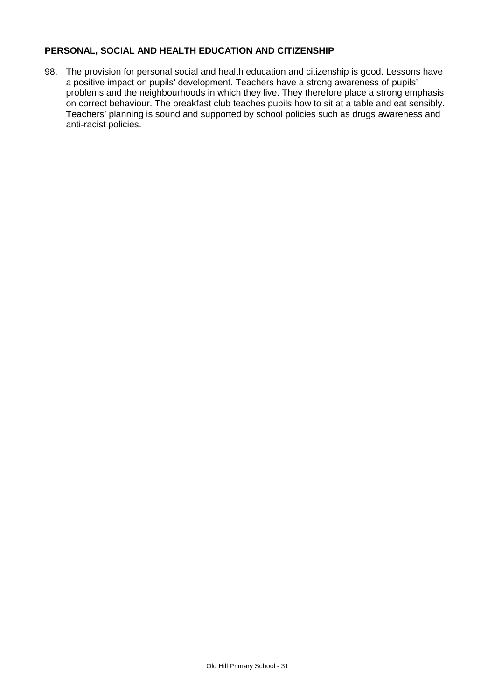# **PERSONAL, SOCIAL AND HEALTH EDUCATION AND CITIZENSHIP**

98. The provision for personal social and health education and citizenship is good. Lessons have a positive impact on pupils' development. Teachers have a strong awareness of pupils' problems and the neighbourhoods in which they live. They therefore place a strong emphasis on correct behaviour. The breakfast club teaches pupils how to sit at a table and eat sensibly. Teachers' planning is sound and supported by school policies such as drugs awareness and anti-racist policies.